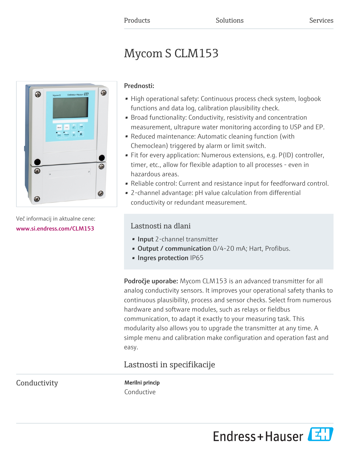# Mycom S CLM153



Več informacij in aktualne cene: [www.si.endress.com/CLM153](https://www.si.endress.com/CLM153)

### Prednosti:

- High operational safety: Continuous process check system, logbook functions and data log, calibration plausibility check.
- Broad functionality: Conductivity, resistivity and concentration measurement, ultrapure water monitoring according to USP and EP.
- Reduced maintenance: Automatic cleaning function (with Chemoclean) triggered by alarm or limit switch.
- Fit for every application: Numerous extensions, e.g. P(ID) controller, timer, etc., allow for flexible adaption to all processes - even in hazardous areas.
- Reliable control: Current and resistance input for feedforward control.
- 2-channel advantage: pH value calculation from differential conductivity or redundant measurement.

## Lastnosti na dlani

- Input 2-channel transmitter
- Output / communication 0/4-20 mA; Hart, Profibus.
- Ingres protection IP65

Področje uporabe: Mycom CLM153 is an advanced transmitter for all analog conductivity sensors. It improves your operational safety thanks to continuous plausibility, process and sensor checks. Select from numerous hardware and software modules, such as relays or fieldbus communication, to adapt it exactly to your measuring task. This modularity also allows you to upgrade the transmitter at any time. A simple menu and calibration make configuration and operation fast and easy.

# Lastnosti in specifikacije

Conductivity Merilni princip

Conductive